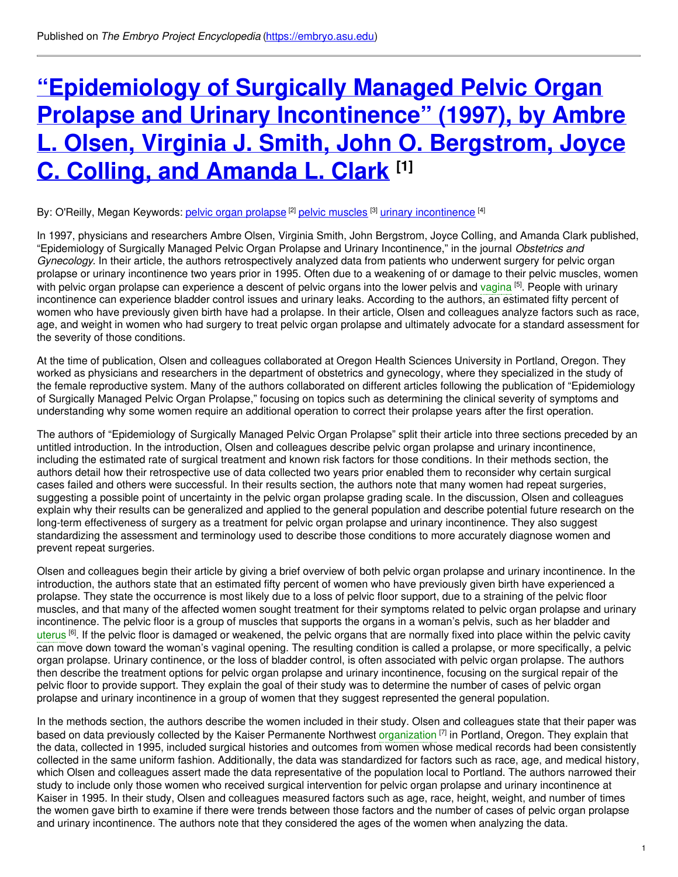# **["Epidemiology](https://embryo.asu.edu/pages/epidemiology-surgically-managed-pelvic-organ-prolapse-and-urinary-incontinence-1997-ambre-l) of Surgically Managed Pelvic Organ Prolapse and Urinary Incontinence" (1997), by Ambre L. Olsen, Virginia J. Smith, John O. Bergstrom, Joyce C. Colling, and Amanda L. Clark [1]**

### By: O'Reilly, Megan Keywords: <u>pelvic organ [prolapse](https://embryo.asu.edu/keywords/pelvic-organ-prolapse) <sup>[2]</sup> pelvic [muscles](https://embryo.asu.edu/keywords/pelvic-muscles)</u> <sup>[3]</sup> urinary [incontinence](https://embryo.asu.edu/keywords/urinary-incontinence) <sup>[4]</sup>

In 1997, physicians and researchers Ambre Olsen, Virginia Smith, John Bergstrom, Joyce Colling, and Amanda Clark published, "Epidemiology of Surgically Managed Pelvic Organ Prolapse and Urinary Incontinence," in the journal *Obstetrics and Gynecology*. In their article, the authors retrospectively analyzed data from patients who underwent surgery for pelvic organ prolapse or urinary incontinence two years prior in 1995. Often due to a weakening of or damage to their pelvic muscles, women with pelvic organ prolapse can experience a descent of pelvic organs into the lower pelvis and [vagina](https://embryo.asu.edu/search?text=vagina) <sup>[5]</sup>. People with urinary incontinence can experience bladder control issues and urinary leaks. According to the authors, an estimated fifty percent of women who have previously given birth have had a prolapse. In their article, Olsen and colleagues analyze factors such as race, age, and weight in women who had surgery to treat pelvic organ prolapse and ultimately advocate for a standard assessment for the severity of those conditions.

At the time of publication, Olsen and colleagues collaborated at Oregon Health Sciences University in Portland, Oregon. They worked as physicians and researchers in the department of obstetrics and gynecology, where they specialized in the study of the female reproductive system. Many of the authors collaborated on different articles following the publication of "Epidemiology of Surgically Managed Pelvic Organ Prolapse," focusing on topics such as determining the clinical severity of symptoms and understanding why some women require an additional operation to correct their prolapse years after the first operation.

The authors of "Epidemiology of Surgically Managed Pelvic Organ Prolapse" split their article into three sections preceded by an untitled introduction. In the introduction, Olsen and colleagues describe pelvic organ prolapse and urinary incontinence, including the estimated rate of surgical treatment and known risk factors for those conditions. In their methods section, the authors detail how their retrospective use of data collected two years prior enabled them to reconsider why certain surgical cases failed and others were successful. In their results section, the authors note that many women had repeat surgeries, suggesting a possible point of uncertainty in the pelvic organ prolapse grading scale. In the discussion, Olsen and colleagues explain why their results can be generalized and applied to the general population and describe potential future research on the long-term effectiveness of surgery as a treatment for pelvic organ prolapse and urinary incontinence. They also suggest standardizing the assessment and terminology used to describe those conditions to more accurately diagnose women and prevent repeat surgeries.

Olsen and colleagues begin their article by giving a brief overview of both pelvic organ prolapse and urinary incontinence. In the introduction, the authors state that an estimated fifty percent of women who have previously given birth have experienced a prolapse. They state the occurrence is most likely due to a loss of pelvic floor support, due to a straining of the pelvic floor muscles, and that many of the affected women sought treatment for their symptoms related to pelvic organ prolapse and urinary incontinence. The pelvic floor is a group of muscles that supports the organs in a woman's pelvis, such as her bladder and [uterus](https://embryo.asu.edu/search?text=uterus) <sup>[6]</sup>. If the pelvic floor is damaged or weakened, the pelvic organs that are normally fixed into place within the pelvic cavity can move down toward the woman's vaginal opening. The resulting condition is called a prolapse, or more specifically, a pelvic organ prolapse. Urinary continence, or the loss of bladder control, is often associated with pelvic organ prolapse. The authors then describe the treatment options for pelvic organ prolapse and urinary incontinence, focusing on the surgical repair of the pelvic floor to provide support. They explain the goal of their study was to determine the number of cases of pelvic organ prolapse and urinary incontinence in a group of women that they suggest represented the general population.

In the methods section, the authors describe the women included in their study. Olsen and colleagues state that their paper was based on data previously collected by the Kaiser Permanente Northwest [organization](https://embryo.asu.edu/search?text=organization) [7] in Portland, Oregon. They explain that the data, collected in 1995, included surgical histories and outcomes from women whose medical records had been consistently collected in the same uniform fashion. Additionally, the data was standardized for factors such as race, age, and medical history, which Olsen and colleagues assert made the data representative of the population local to Portland. The authors narrowed their study to include only those women who received surgical intervention for pelvic organ prolapse and urinary incontinence at Kaiser in 1995. In their study, Olsen and colleagues measured factors such as age, race, height, weight, and number of times the women gave birth to examine if there were trends between those factors and the number of cases of pelvic organ prolapse and urinary incontinence. The authors note that they considered the ages of the women when analyzing the data.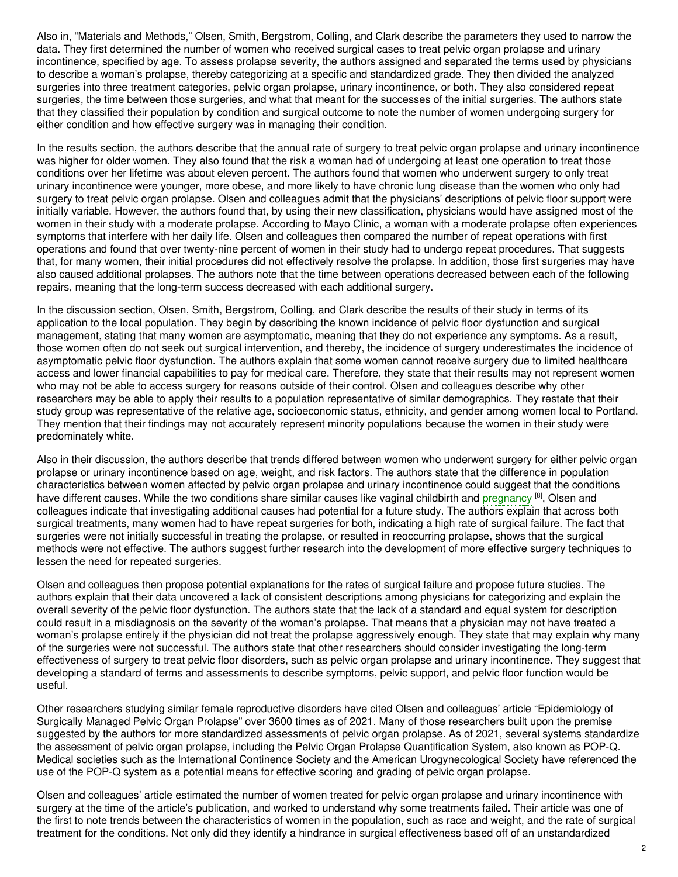Also in, "Materials and Methods," Olsen, Smith, Bergstrom, Colling, and Clark describe the parameters they used to narrow the data. They first determined the number of women who received surgical cases to treat pelvic organ prolapse and urinary incontinence, specified by age. To assess prolapse severity, the authors assigned and separated the terms used by physicians to describe a woman's prolapse, thereby categorizing at a specific and standardized grade. They then divided the analyzed surgeries into three treatment categories, pelvic organ prolapse, urinary incontinence, or both. They also considered repeat surgeries, the time between those surgeries, and what that meant for the successes of the initial surgeries. The authors state that they classified their population by condition and surgical outcome to note the number of women undergoing surgery for either condition and how effective surgery was in managing their condition.

In the results section, the authors describe that the annual rate of surgery to treat pelvic organ prolapse and urinary incontinence was higher for older women. They also found that the risk a woman had of undergoing at least one operation to treat those conditions over her lifetime was about eleven percent. The authors found that women who underwent surgery to only treat urinary incontinence were younger, more obese, and more likely to have chronic lung disease than the women who only had surgery to treat pelvic organ prolapse. Olsen and colleagues admit that the physicians' descriptions of pelvic floor support were initially variable. However, the authors found that, by using their new classification, physicians would have assigned most of the women in their study with a moderate prolapse. According to Mayo Clinic, a woman with a moderate prolapse often experiences symptoms that interfere with her daily life. Olsen and colleagues then compared the number of repeat operations with first operations and found that over twenty-nine percent of women in their study had to undergo repeat procedures. That suggests that, for many women, their initial procedures did not effectively resolve the prolapse. In addition, those first surgeries may have also caused additional prolapses. The authors note that the time between operations decreased between each of the following repairs, meaning that the long-term success decreased with each additional surgery.

In the discussion section, Olsen, Smith, Bergstrom, Colling, and Clark describe the results of their study in terms of its application to the local population. They begin by describing the known incidence of pelvic floor dysfunction and surgical management, stating that many women are asymptomatic, meaning that they do not experience any symptoms. As a result, those women often do not seek out surgical intervention, and thereby, the incidence of surgery underestimates the incidence of asymptomatic pelvic floor dysfunction. The authors explain that some women cannot receive surgery due to limited healthcare access and lower financial capabilities to pay for medical care. Therefore, they state that their results may not represent women who may not be able to access surgery for reasons outside of their control. Olsen and colleagues describe why other researchers may be able to apply their results to a population representative of similar demographics. They restate that their study group was representative of the relative age, socioeconomic status, ethnicity, and gender among women local to Portland. They mention that their findings may not accurately represent minority populations because the women in their study were predominately white.

Also in their discussion, the authors describe that trends differed between women who underwent surgery for either pelvic organ prolapse or urinary incontinence based on age, weight, and risk factors. The authors state that the difference in population characteristics between women affected by pelvic organ prolapse and urinary incontinence could suggest that the conditions have different causes. While the two conditions share similar causes like vaginal childbirth and [pregnancy](https://embryo.asu.edu/search?text=pregnancy) <sup>[8]</sup>, Olsen and colleagues indicate that investigating additional causes had potential for a future study. The authors explain that across both surgical treatments, many women had to have repeat surgeries for both, indicating a high rate of surgical failure. The fact that surgeries were not initially successful in treating the prolapse, or resulted in reoccurring prolapse, shows that the surgical methods were not effective. The authors suggest further research into the development of more effective surgery techniques to lessen the need for repeated surgeries.

Olsen and colleagues then propose potential explanations for the rates of surgical failure and propose future studies. The authors explain that their data uncovered a lack of consistent descriptions among physicians for categorizing and explain the overall severity of the pelvic floor dysfunction. The authors state that the lack of a standard and equal system for description could result in a misdiagnosis on the severity of the woman's prolapse. That means that a physician may not have treated a woman's prolapse entirely if the physician did not treat the prolapse aggressively enough. They state that may explain why many of the surgeries were not successful. The authors state that other researchers should consider investigating the long-term effectiveness of surgery to treat pelvic floor disorders, such as pelvic organ prolapse and urinary incontinence. They suggest that developing a standard of terms and assessments to describe symptoms, pelvic support, and pelvic floor function would be useful.

Other researchers studying similar female reproductive disorders have cited Olsen and colleagues' article "Epidemiology of Surgically Managed Pelvic Organ Prolapse" over 3600 times as of 2021. Many of those researchers built upon the premise suggested by the authors for more standardized assessments of pelvic organ prolapse. As of 2021, several systems standardize the assessment of pelvic organ prolapse, including the Pelvic Organ Prolapse Quantification System, also known as POP-Q. Medical societies such as the International Continence Society and the American Urogynecological Society have referenced the use of the POP-Q system as a potential means for effective scoring and grading of pelvic organ prolapse.

Olsen and colleagues' article estimated the number of women treated for pelvic organ prolapse and urinary incontinence with surgery at the time of the article's publication, and worked to understand why some treatments failed. Their article was one of the first to note trends between the characteristics of women in the population, such as race and weight, and the rate of surgical treatment for the conditions. Not only did they identify a hindrance in surgical effectiveness based off of an unstandardized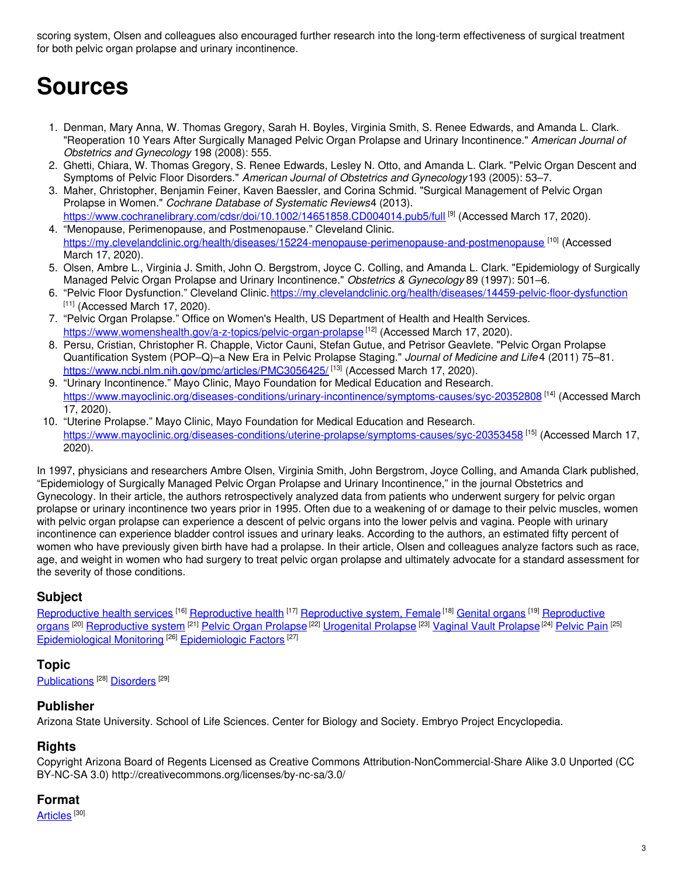scoring system, Olsen and colleagues also encouraged further research into the long-term effectiveness of surgical treatment for both pelvic organ prolapse and urinary incontinence.

# **Sources**

- 1. Denman, Mary Anna, W. Thomas Gregory, Sarah H. Boyles, Virginia Smith, S. Renee Edwards, and Amanda L. Clark. "Reoperation 10 Years After Surgically Managed Pelvic Organ Prolapse and Urinary Incontinence." *American Journal of Obstetrics and Gynecology* 198 (2008): 555.
- 2. Ghetti, Chiara, W. Thomas Gregory, S. Renee Edwards, Lesley N. Otto, and Amanda L. Clark. "Pelvic Organ Descent and Symptoms of Pelvic Floor Disorders." *American Journal of Obstetrics and Gynecology*193 (2005): 53–7.
- 3. Maher, Christopher, Benjamin Feiner, Kaven Baessler, and Corina Schmid. "Surgical Management of Pelvic Organ Prolapse in Women." *Cochrane Database of Systematic Reviews*4 (2013).
- <https://www.cochranelibrary.com/cdsr/doi/10.1002/14651858.CD004014.pub5/full> <sup>[9]</sup> (Accessed March 17, 2020). 4. "Menopause, Perimenopause, and Postmenopause." Cleveland Clinic. <https://my.clevelandclinic.org/health/diseases/15224-menopause-perimenopause-and-postmenopause> <sup>[10]</sup> (Accessed
- March 17, 2020).
- 5. Olsen, Ambre L., Virginia J. Smith, John O. Bergstrom, Joyce C. Colling, and Amanda L. Clark. "Epidemiology of Surgically Managed Pelvic Organ Prolapse and Urinary Incontinence." *Obstetrics & Gynecology* 89 (1997): 501–6.
- 6. "Pelvic Floor Dysfunction." Cleveland Clinic.<https://my.clevelandclinic.org/health/diseases/14459-pelvic-floor-dysfunction>  $[11]$  (Accessed March 17, 2020).
- 7. "Pelvic Organ Prolapse." Office on Women's Health, US Department of Health and Health Services. <https://www.womenshealth.gov/a-z-topics/pelvic-organ-prolapse><sup>[12]</sup> (Accessed March 17, 2020).
- 8. Persu, Cristian, Christopher R. Chapple, Victor Cauni, Stefan Gutue, and Petrisor Geavlete. "Pelvic Organ Prolapse Quantification System (POP–Q)–a New Era in Pelvic Prolapse Staging." *Journal of Medicine and Life* 4 (2011) 75–81. <https://www.ncbi.nlm.nih.gov/pmc/articles/PMC3056425/> [<sup>13]</sup> (Accessed March 17, 2020).
- 9. "Urinary Incontinence." Mayo Clinic, Mayo Foundation for Medical Education and Research. <https://www.mayoclinic.org/diseases-conditions/urinary-incontinence/symptoms-causes/syc-20352808> [14] (Accessed March 17, 2020).
- 10. "Uterine Prolapse." Mayo Clinic, Mayo Foundation for Medical Education and Research. <https://www.mayoclinic.org/diseases-conditions/uterine-prolapse/symptoms-causes/syc-20353458> <sup>[15]</sup> (Accessed March 17, 2020).

In 1997, physicians and researchers Ambre Olsen, Virginia Smith, John Bergstrom, Joyce Colling, and Amanda Clark published, "Epidemiology of Surgically Managed Pelvic Organ Prolapse and Urinary Incontinence," in the journal Obstetrics and Gynecology. In their article, the authors retrospectively analyzed data from patients who underwent surgery for pelvic organ prolapse or urinary incontinence two years prior in 1995. Often due to a weakening of or damage to their pelvic muscles, women with pelvic organ prolapse can experience a descent of pelvic organs into the lower pelvis and vagina. People with urinary incontinence can experience bladder control issues and urinary leaks. According to the authors, an estimated fifty percent of women who have previously given birth have had a prolapse. In their article, Olsen and colleagues analyze factors such as race, age, and weight in women who had surgery to treat pelvic organ prolapse and ultimately advocate for a standard assessment for the severity of those conditions.

# **Subject**

[Reproductive](https://embryo.asu.edu/library-congress-subject-headings/reproductive-system-female) health services <sup>[16]</sup> Reproductive health <sup>[17]</sup> Reproductive system, Female <sup>[18]</sup> [Genital](https://embryo.asu.edu/library-congress-subject-headings/genital-organs) organs <sup>[19]</sup> Reproductive organs <sup>(20]</sup> [Reproductive](https://embryo.asu.edu/library-congress-subject-headings/reproductive-system) system <sup>(21)</sup> Pelvic Organ [Prolapse](https://embryo.asu.edu/medical-subject-headings/vaginal-vault-prolapse) <sup>(22)</sup> [Urogenital](https://embryo.asu.edu/medical-subject-headings/urogenital-prolapse) Prolapse <sup>(23)</sup> Vaginal Vault Prolapse <sup>(24)</sup> [Pelvic](https://embryo.asu.edu/medical-subject-headings/pelvic-pain) Pain <sup>(25)</sup> [Epidemiological](https://embryo.asu.edu/medical-subject-headings/epidemiological-monitoring) Monitoring<sup>[26]</sup> [Epidemiologic](https://embryo.asu.edu/medical-subject-headings/epidemiologic-factors) Factors<sup>[27]</sup>

# **Topic**

[Publications](https://embryo.asu.edu/topics/publications)<sup>[28]</sup> [Disorders](https://embryo.asu.edu/topics/disorders)<sup>[29]</sup>

# **Publisher**

Arizona State University. School of Life Sciences. Center for Biology and Society. Embryo Project Encyclopedia.

### **Rights**

Copyright Arizona Board of Regents Licensed as Creative Commons Attribution-NonCommercial-Share Alike 3.0 Unported (CC BY-NC-SA 3.0) http://creativecommons.org/licenses/by-nc-sa/3.0/

### **Format**

[Articles](https://embryo.asu.edu/formats/articles)  $^{\rm [30]}$